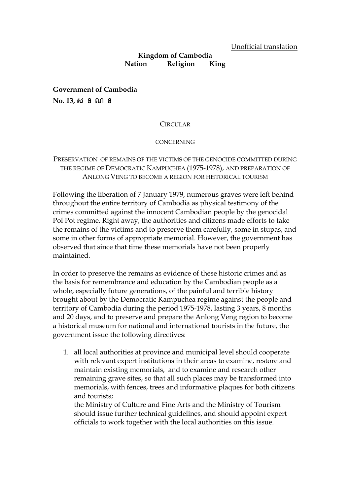## Unofficial translation

## **Kingdom of Cambodia Nation Religion King**

**Government of Cambodia No. 13,** s.n.N.n

**CIRCULAR** 

## **CONCERNING**

## PRESERVATION OF REMAINS OF THE VICTIMS OF THE GENOCIDE COMMITTED DURING THE REGIME OF DEMOCRATIC KAMPUCHEA (1975-1978), AND PREPARATION OF ANLONG VENG TO BECOME A REGION FOR HISTORICAL TOURISM

Following the liberation of 7 January 1979, numerous graves were left behind throughout the entire territory of Cambodia as physical testimony of the crimes committed against the innocent Cambodian people by the genocidal Pol Pot regime. Right away, the authorities and citizens made efforts to take the remains of the victims and to preserve them carefully, some in stupas, and some in other forms of appropriate memorial. However, the government has observed that since that time these memorials have not been properly maintained.

In order to preserve the remains as evidence of these historic crimes and as the basis for remembrance and education by the Cambodian people as a whole, especially future generations, of the painful and terrible history brought about by the Democratic Kampuchea regime against the people and territory of Cambodia during the period 1975-1978, lasting 3 years, 8 months and 20 days, and to preserve and prepare the Anlong Veng region to become a historical museum for national and international tourists in the future, the government issue the following directives:

1. all local authorities at province and municipal level should cooperate with relevant expert institutions in their areas to examine, restore and maintain existing memorials, and to examine and research other remaining grave sites, so that all such places may be transformed into memorials, with fences, trees and informative plaques for both citizens and tourists;

the Ministry of Culture and Fine Arts and the Ministry of Tourism should issue further technical guidelines, and should appoint expert officials to work together with the local authorities on this issue.